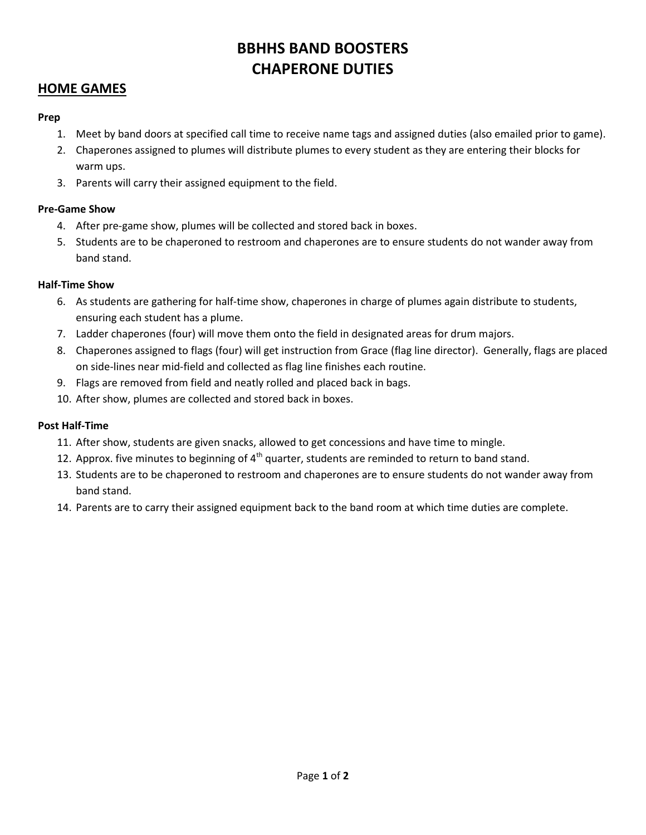# **BBHHS BAND BOOSTERS CHAPERONE DUTIES**

### **HOME GAMES**

### **Prep**

- 1. Meet by band doors at specified call time to receive name tags and assigned duties (also emailed prior to game).
- 2. Chaperones assigned to plumes will distribute plumes to every student as they are entering their blocks for warm ups.
- 3. Parents will carry their assigned equipment to the field.

### **Pre-Game Show**

- 4. After pre-game show, plumes will be collected and stored back in boxes.
- 5. Students are to be chaperoned to restroom and chaperones are to ensure students do not wander away from band stand.

### **Half-Time Show**

- 6. As students are gathering for half-time show, chaperones in charge of plumes again distribute to students, ensuring each student has a plume.
- 7. Ladder chaperones (four) will move them onto the field in designated areas for drum majors.
- 8. Chaperones assigned to flags (four) will get instruction from Grace (flag line director). Generally, flags are placed on side-lines near mid-field and collected as flag line finishes each routine.
- 9. Flags are removed from field and neatly rolled and placed back in bags.
- 10. After show, plumes are collected and stored back in boxes.

### **Post Half-Time**

- 11. After show, students are given snacks, allowed to get concessions and have time to mingle.
- 12. Approx. five minutes to beginning of  $4<sup>th</sup>$  quarter, students are reminded to return to band stand.
- 13. Students are to be chaperoned to restroom and chaperones are to ensure students do not wander away from band stand.
- 14. Parents are to carry their assigned equipment back to the band room at which time duties are complete.